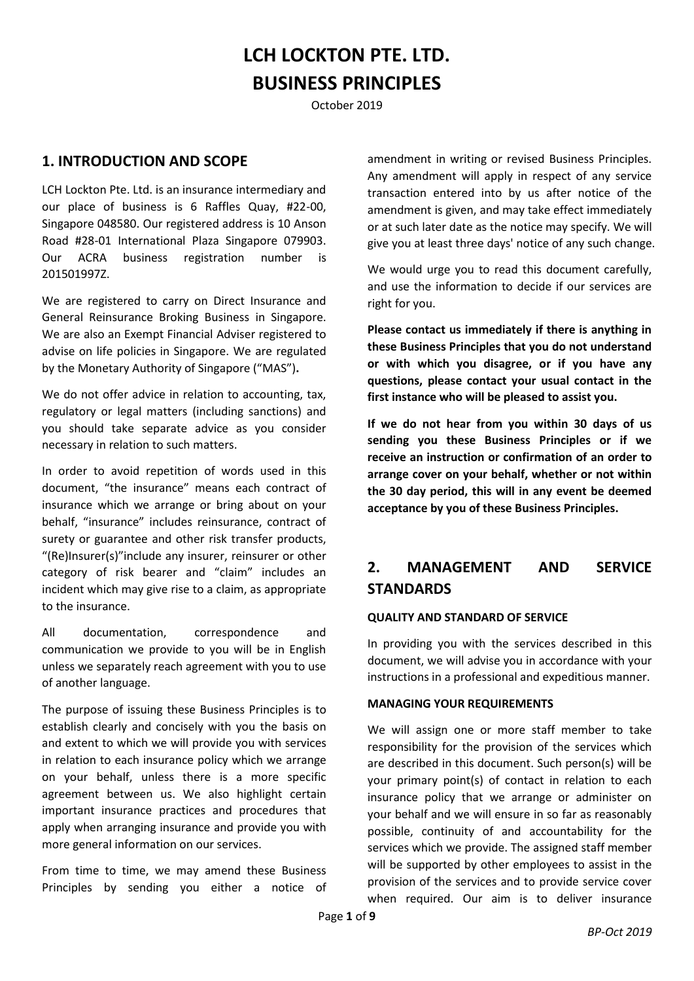# **LCH LOCKTON PTE. LTD. BUSINESS PRINCIPLES**

October 2019

## **1. INTRODUCTION AND SCOPE**

LCH Lockton Pte. Ltd. is an insurance intermediary and our place of business is 6 Raffles Quay, #22-00, Singapore 048580. Our registered address is 10 Anson Road #28-01 International Plaza Singapore 079903. Our ACRA business registration number is 201501997Z.

We are registered to carry on Direct Insurance and General Reinsurance Broking Business in Singapore. We are also an Exempt Financial Adviser registered to advise on life policies in Singapore. We are regulated by the Monetary Authority of Singapore ("MAS")**.**

We do not offer advice in relation to accounting, tax, regulatory or legal matters (including sanctions) and you should take separate advice as you consider necessary in relation to such matters.

In order to avoid repetition of words used in this document, "the insurance" means each contract of insurance which we arrange or bring about on your behalf, "insurance" includes reinsurance, contract of surety or guarantee and other risk transfer products, "(Re)Insurer(s)"include any insurer, reinsurer or other category of risk bearer and "claim" includes an incident which may give rise to a claim, as appropriate to the insurance.

All documentation, correspondence and communication we provide to you will be in English unless we separately reach agreement with you to use of another language.

The purpose of issuing these Business Principles is to establish clearly and concisely with you the basis on and extent to which we will provide you with services in relation to each insurance policy which we arrange on your behalf, unless there is a more specific agreement between us. We also highlight certain important insurance practices and procedures that apply when arranging insurance and provide you with more general information on our services.

From time to time, we may amend these Business Principles by sending you either a notice of amendment in writing or revised Business Principles. Any amendment will apply in respect of any service transaction entered into by us after notice of the amendment is given, and may take effect immediately or at such later date as the notice may specify. We will give you at least three days' notice of any such change.

We would urge you to read this document carefully, and use the information to decide if our services are right for you.

**Please contact us immediately if there is anything in these Business Principles that you do not understand or with which you disagree, or if you have any questions, please contact your usual contact in the first instance who will be pleased to assist you.**

**If we do not hear from you within 30 days of us sending you these Business Principles or if we receive an instruction or confirmation of an order to arrange cover on your behalf, whether or not within the 30 day period, this will in any event be deemed acceptance by you of these Business Principles.**

## **2. MANAGEMENT AND SERVICE STANDARDS**

#### **QUALITY AND STANDARD OF SERVICE**

In providing you with the services described in this document, we will advise you in accordance with your instructions in a professional and expeditious manner.

#### **MANAGING YOUR REQUIREMENTS**

We will assign one or more staff member to take responsibility for the provision of the services which are described in this document. Such person(s) will be your primary point(s) of contact in relation to each insurance policy that we arrange or administer on your behalf and we will ensure in so far as reasonably possible, continuity of and accountability for the services which we provide. The assigned staff member will be supported by other employees to assist in the provision of the services and to provide service cover when required. Our aim is to deliver insurance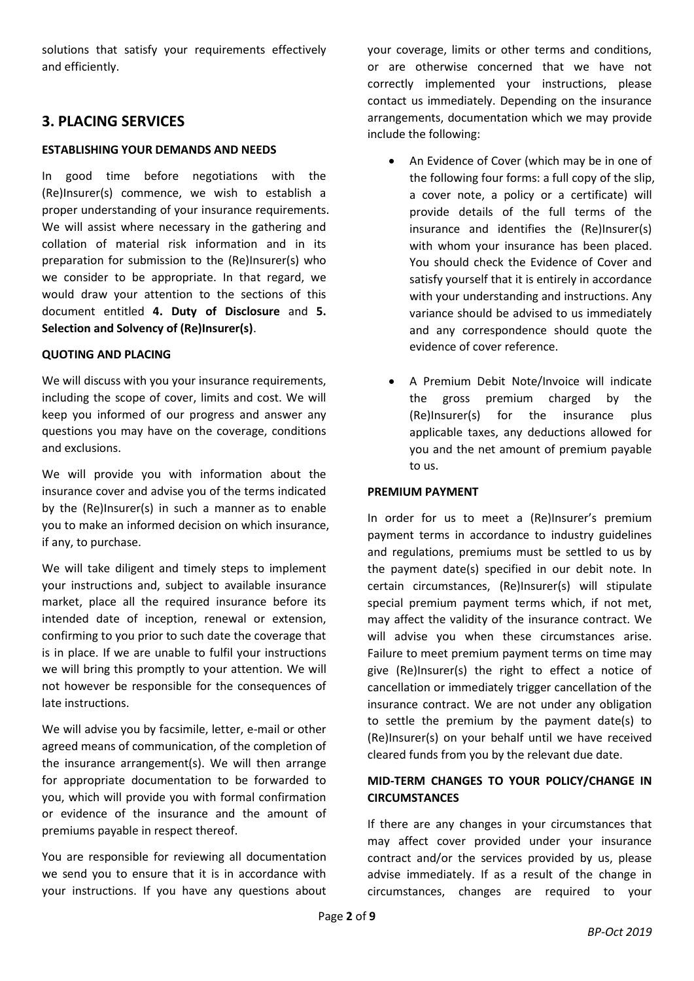solutions that satisfy your requirements effectively and efficiently.

## **3. PLACING SERVICES**

### **ESTABLISHING YOUR DEMANDS AND NEEDS**

In good time before negotiations with the (Re)Insurer(s) commence, we wish to establish a proper understanding of your insurance requirements. We will assist where necessary in the gathering and collation of material risk information and in its preparation for submission to the (Re)Insurer(s) who we consider to be appropriate. In that regard, we would draw your attention to the sections of this document entitled **4. Duty of Disclosure** and **5. Selection and Solvency of (Re)Insurer(s)**.

### **QUOTING AND PLACING**

We will discuss with you your insurance requirements, including the scope of cover, limits and cost. We will keep you informed of our progress and answer any questions you may have on the coverage, conditions and exclusions.

We will provide you with information about the insurance cover and advise you of the terms indicated by the (Re)Insurer(s) in such a manner as to enable you to make an informed decision on which insurance, if any, to purchase.

We will take diligent and timely steps to implement your instructions and, subject to available insurance market, place all the required insurance before its intended date of inception, renewal or extension, confirming to you prior to such date the coverage that is in place. If we are unable to fulfil your instructions we will bring this promptly to your attention. We will not however be responsible for the consequences of late instructions.

We will advise you by facsimile, letter, e-mail or other agreed means of communication, of the completion of the insurance arrangement(s). We will then arrange for appropriate documentation to be forwarded to you, which will provide you with formal confirmation or evidence of the insurance and the amount of premiums payable in respect thereof.

You are responsible for reviewing all documentation we send you to ensure that it is in accordance with your instructions. If you have any questions about your coverage, limits or other terms and conditions, or are otherwise concerned that we have not correctly implemented your instructions, please contact us immediately. Depending on the insurance arrangements, documentation which we may provide include the following:

- An Evidence of Cover (which may be in one of the following four forms: a full copy of the slip, a cover note, a policy or a certificate) will provide details of the full terms of the insurance and identifies the (Re)Insurer(s) with whom your insurance has been placed. You should check the Evidence of Cover and satisfy yourself that it is entirely in accordance with your understanding and instructions. Any variance should be advised to us immediately and any correspondence should quote the evidence of cover reference.
- A Premium Debit Note/Invoice will indicate the gross premium charged by the (Re)Insurer(s) for the insurance plus applicable taxes, any deductions allowed for you and the net amount of premium payable to us.

### **PREMIUM PAYMENT**

In order for us to meet a (Re)Insurer's premium payment terms in accordance to industry guidelines and regulations, premiums must be settled to us by the payment date(s) specified in our debit note. In certain circumstances, (Re)Insurer(s) will stipulate special premium payment terms which, if not met, may affect the validity of the insurance contract. We will advise you when these circumstances arise. Failure to meet premium payment terms on time may give (Re)Insurer(s) the right to effect a notice of cancellation or immediately trigger cancellation of the insurance contract. We are not under any obligation to settle the premium by the payment date(s) to (Re)Insurer(s) on your behalf until we have received cleared funds from you by the relevant due date.

### **MID-TERM CHANGES TO YOUR POLICY/CHANGE IN CIRCUMSTANCES**

If there are any changes in your circumstances that may affect cover provided under your insurance contract and/or the services provided by us, please advise immediately. If as a result of the change in circumstances, changes are required to your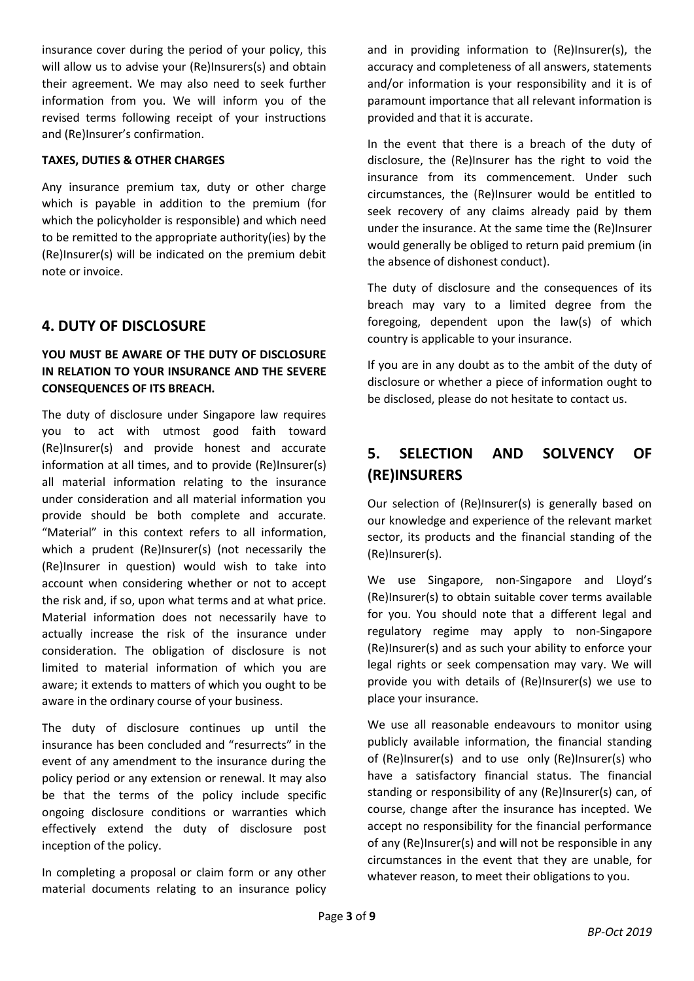insurance cover during the period of your policy, this will allow us to advise your (Re)Insurers(s) and obtain their agreement. We may also need to seek further information from you. We will inform you of the revised terms following receipt of your instructions and (Re)Insurer's confirmation.

#### **TAXES, DUTIES & OTHER CHARGES**

Any insurance premium tax, duty or other charge which is payable in addition to the premium (for which the policyholder is responsible) and which need to be remitted to the appropriate authority(ies) by the (Re)Insurer(s) will be indicated on the premium debit note or invoice.

### **4. DUTY OF DISCLOSURE**

### **YOU MUST BE AWARE OF THE DUTY OF DISCLOSURE IN RELATION TO YOUR INSURANCE AND THE SEVERE CONSEQUENCES OF ITS BREACH.**

The duty of disclosure under Singapore law requires you to act with utmost good faith toward (Re)Insurer(s) and provide honest and accurate information at all times, and to provide (Re)Insurer(s) all material information relating to the insurance under consideration and all material information you provide should be both complete and accurate. "Material" in this context refers to all information, which a prudent (Re)Insurer(s) (not necessarily the (Re)Insurer in question) would wish to take into account when considering whether or not to accept the risk and, if so, upon what terms and at what price. Material information does not necessarily have to actually increase the risk of the insurance under consideration. The obligation of disclosure is not limited to material information of which you are aware; it extends to matters of which you ought to be aware in the ordinary course of your business.

The duty of disclosure continues up until the insurance has been concluded and "resurrects" in the event of any amendment to the insurance during the policy period or any extension or renewal. It may also be that the terms of the policy include specific ongoing disclosure conditions or warranties which effectively extend the duty of disclosure post inception of the policy.

In completing a proposal or claim form or any other material documents relating to an insurance policy and in providing information to (Re)Insurer(s), the accuracy and completeness of all answers, statements and/or information is your responsibility and it is of paramount importance that all relevant information is provided and that it is accurate.

In the event that there is a breach of the duty of disclosure, the (Re)Insurer has the right to void the insurance from its commencement. Under such circumstances, the (Re)Insurer would be entitled to seek recovery of any claims already paid by them under the insurance. At the same time the (Re)Insurer would generally be obliged to return paid premium (in the absence of dishonest conduct).

The duty of disclosure and the consequences of its breach may vary to a limited degree from the foregoing, dependent upon the law(s) of which country is applicable to your insurance.

If you are in any doubt as to the ambit of the duty of disclosure or whether a piece of information ought to be disclosed, please do not hesitate to contact us.

## **5. SELECTION AND SOLVENCY OF (RE)INSURERS**

Our selection of (Re)Insurer(s) is generally based on our knowledge and experience of the relevant market sector, its products and the financial standing of the (Re)Insurer(s).

We use Singapore, non-Singapore and Lloyd's (Re)Insurer(s) to obtain suitable cover terms available for you. You should note that a different legal and regulatory regime may apply to non-Singapore (Re)Insurer(s) and as such your ability to enforce your legal rights or seek compensation may vary. We will provide you with details of (Re)Insurer(s) we use to place your insurance.

We use all reasonable endeavours to monitor using publicly available information, the financial standing of (Re)Insurer(s) and to use only (Re)Insurer(s) who have a satisfactory financial status. The financial standing or responsibility of any (Re)Insurer(s) can, of course, change after the insurance has incepted. We accept no responsibility for the financial performance of any (Re)Insurer(s) and will not be responsible in any circumstances in the event that they are unable, for whatever reason, to meet their obligations to you.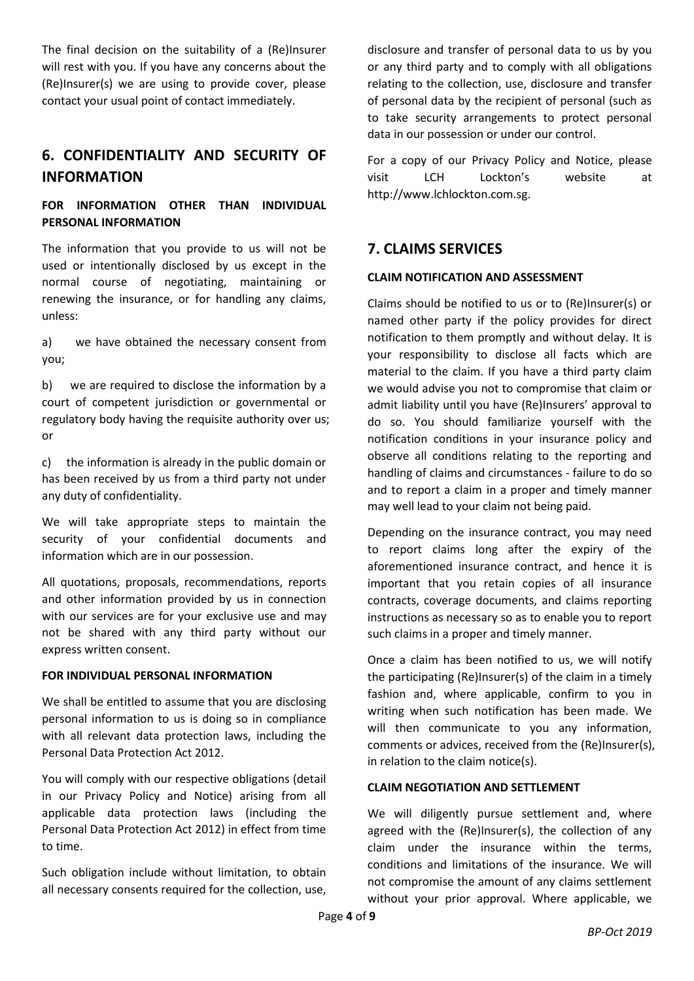The final decision on the suitability of a (Re)Insurer will rest with you. If you have any concerns about the (Re)Insurer(s) we are using to provide cover, please contact your usual point of contact immediately.

## **6. CONFIDENTIALITY AND SECURITY OF INFORMATION**

### **FOR INFORMATION OTHER THAN INDIVIDUAL PERSONAL INFORMATION**

The information that you provide to us will not be used or intentionally disclosed by us except in the normal course of negotiating, maintaining or renewing the insurance, or for handling any claims, unless:

a) we have obtained the necessary consent from you;

b) we are required to disclose the information by a court of competent jurisdiction or governmental or regulatory body having the requisite authority over us; or

c) the information is already in the public domain or has been received by us from a third party not under any duty of confidentiality.

We will take appropriate steps to maintain the security of your confidential documents and information which are in our possession.

All quotations, proposals, recommendations, reports and other information provided by us in connection with our services are for your exclusive use and may not be shared with any third party without our express written consent.

### **FOR INDIVIDUAL PERSONAL INFORMATION**

We shall be entitled to assume that you are disclosing personal information to us is doing so in compliance with all relevant data protection laws, including the Personal Data Protection Act 2012.

You will comply with our respective obligations (detail in our Privacy Policy and Notice) arising from all applicable data protection laws (including the Personal Data Protection Act 2012) in effect from time to time.

Such obligation include without limitation, to obtain all necessary consents required for the collection, use, disclosure and transfer of personal data to us by you or any third party and to comply with all obligations relating to the collection, use, disclosure and transfer of personal data by the recipient of personal (such as to take security arrangements to protect personal data in our possession or under our control.

For a copy of our Privacy Policy and Notice, please visit LCH Lockton's website at http://www.lchlockton.com.sg.

### **7. CLAIMS SERVICES**

#### **CLAIM NOTIFICATION AND ASSESSMENT**

Claims should be notified to us or to (Re)Insurer(s) or named other party if the policy provides for direct notification to them promptly and without delay. It is your responsibility to disclose all facts which are material to the claim. If you have a third party claim we would advise you not to compromise that claim or admit liability until you have (Re)Insurers' approval to do so. You should familiarize yourself with the notification conditions in your insurance policy and observe all conditions relating to the reporting and handling of claims and circumstances - failure to do so and to report a claim in a proper and timely manner may well lead to your claim not being paid.

Depending on the insurance contract, you may need to report claims long after the expiry of the aforementioned insurance contract, and hence it is important that you retain copies of all insurance contracts, coverage documents, and claims reporting instructions as necessary so as to enable you to report such claims in a proper and timely manner.

Once a claim has been notified to us, we will notify the participating (Re)Insurer(s) of the claim in a timely fashion and, where applicable, confirm to you in writing when such notification has been made. We will then communicate to you any information, comments or advices, received from the (Re)Insurer(s), in relation to the claim notice(s).

#### **CLAIM NEGOTIATION AND SETTLEMENT**

We will diligently pursue settlement and, where agreed with the (Re)Insurer(s), the collection of any claim under the insurance within the terms, conditions and limitations of the insurance. We will not compromise the amount of any claims settlement without your prior approval. Where applicable, we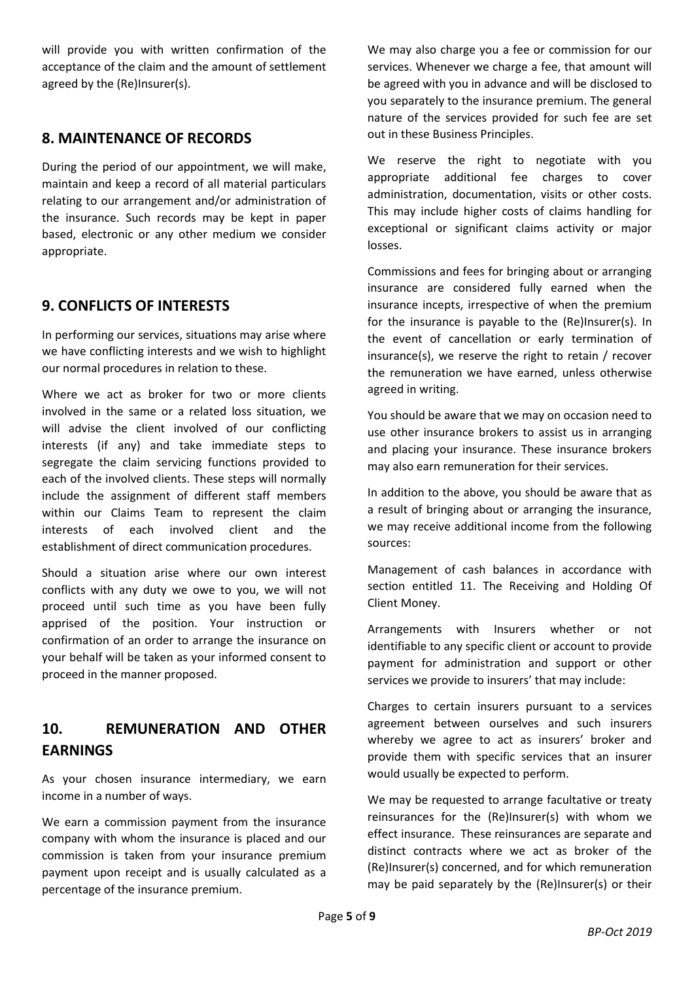will provide you with written confirmation of the acceptance of the claim and the amount of settlement agreed by the (Re)Insurer(s).

## **8. MAINTENANCE OF RECORDS**

During the period of our appointment, we will make, maintain and keep a record of all material particulars relating to our arrangement and/or administration of the insurance. Such records may be kept in paper based, electronic or any other medium we consider appropriate.

## **9. CONFLICTS OF INTERESTS**

In performing our services, situations may arise where we have conflicting interests and we wish to highlight our normal procedures in relation to these.

Where we act as broker for two or more clients involved in the same or a related loss situation, we will advise the client involved of our conflicting interests (if any) and take immediate steps to segregate the claim servicing functions provided to each of the involved clients. These steps will normally include the assignment of different staff members within our Claims Team to represent the claim interests of each involved client and the establishment of direct communication procedures.

Should a situation arise where our own interest conflicts with any duty we owe to you, we will not proceed until such time as you have been fully apprised of the position. Your instruction or confirmation of an order to arrange the insurance on your behalf will be taken as your informed consent to proceed in the manner proposed.

## **10. REMUNERATION AND OTHER EARNINGS**

As your chosen insurance intermediary, we earn income in a number of ways.

We earn a commission payment from the insurance company with whom the insurance is placed and our commission is taken from your insurance premium payment upon receipt and is usually calculated as a percentage of the insurance premium.

We may also charge you a fee or commission for our services. Whenever we charge a fee, that amount will be agreed with you in advance and will be disclosed to you separately to the insurance premium. The general nature of the services provided for such fee are set out in these Business Principles.

We reserve the right to negotiate with you appropriate additional fee charges to cover administration, documentation, visits or other costs. This may include higher costs of claims handling for exceptional or significant claims activity or major losses.

Commissions and fees for bringing about or arranging insurance are considered fully earned when the insurance incepts, irrespective of when the premium for the insurance is payable to the (Re)Insurer(s). In the event of cancellation or early termination of insurance(s), we reserve the right to retain / recover the remuneration we have earned, unless otherwise agreed in writing.

You should be aware that we may on occasion need to use other insurance brokers to assist us in arranging and placing your insurance. These insurance brokers may also earn remuneration for their services.

In addition to the above, you should be aware that as a result of bringing about or arranging the insurance, we may receive additional income from the following sources:

Management of cash balances in accordance with section entitled 11. The Receiving and Holding Of Client Money.

Arrangements with Insurers whether or not identifiable to any specific client or account to provide payment for administration and support or other services we provide to insurers' that may include:

Charges to certain insurers pursuant to a services agreement between ourselves and such insurers whereby we agree to act as insurers' broker and provide them with specific services that an insurer would usually be expected to perform.

We may be requested to arrange facultative or treaty reinsurances for the (Re)Insurer(s) with whom we effect insurance. These reinsurances are separate and distinct contracts where we act as broker of the (Re)Insurer(s) concerned, and for which remuneration may be paid separately by the (Re)Insurer(s) or their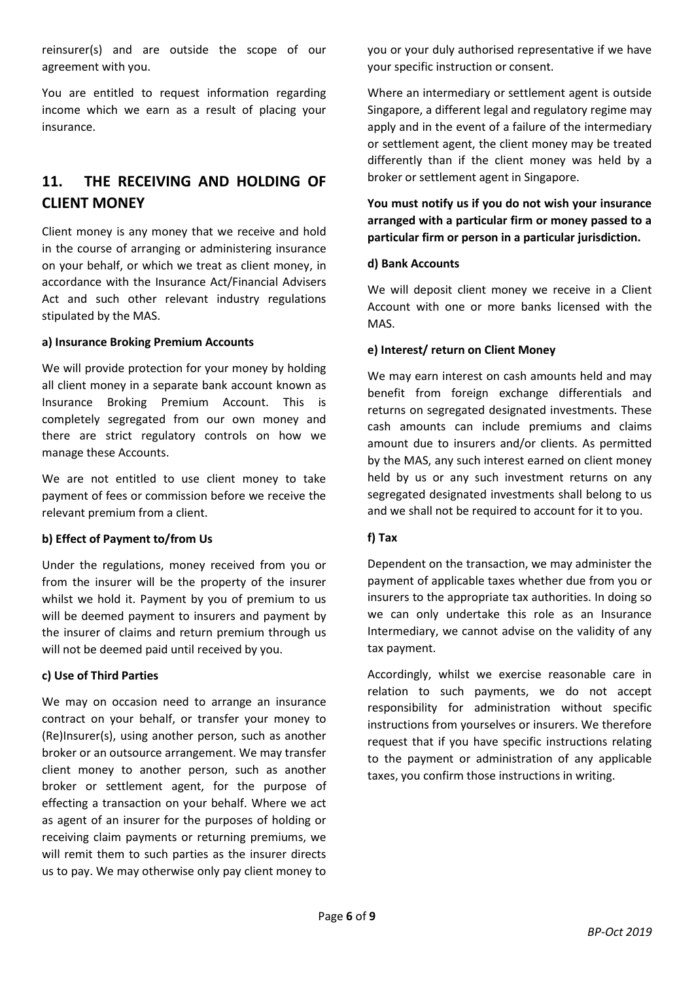reinsurer(s) and are outside the scope of our agreement with you.

You are entitled to request information regarding income which we earn as a result of placing your insurance.

## **11. THE RECEIVING AND HOLDING OF CLIENT MONEY**

Client money is any money that we receive and hold in the course of arranging or administering insurance on your behalf, or which we treat as client money, in accordance with the Insurance Act/Financial Advisers Act and such other relevant industry regulations stipulated by the MAS.

#### **a) Insurance Broking Premium Accounts**

We will provide protection for your money by holding all client money in a separate bank account known as Insurance Broking Premium Account. This is completely segregated from our own money and there are strict regulatory controls on how we manage these Accounts.

We are not entitled to use client money to take payment of fees or commission before we receive the relevant premium from a client.

### **b) Effect of Payment to/from Us**

Under the regulations, money received from you or from the insurer will be the property of the insurer whilst we hold it. Payment by you of premium to us will be deemed payment to insurers and payment by the insurer of claims and return premium through us will not be deemed paid until received by you.

### **c) Use of Third Parties**

We may on occasion need to arrange an insurance contract on your behalf, or transfer your money to (Re)Insurer(s), using another person, such as another broker or an outsource arrangement. We may transfer client money to another person, such as another broker or settlement agent, for the purpose of effecting a transaction on your behalf. Where we act as agent of an insurer for the purposes of holding or receiving claim payments or returning premiums, we will remit them to such parties as the insurer directs us to pay. We may otherwise only pay client money to

you or your duly authorised representative if we have your specific instruction or consent.

Where an intermediary or settlement agent is outside Singapore, a different legal and regulatory regime may apply and in the event of a failure of the intermediary or settlement agent, the client money may be treated differently than if the client money was held by a broker or settlement agent in Singapore.

**You must notify us if you do not wish your insurance arranged with a particular firm or money passed to a particular firm or person in a particular jurisdiction.** 

### **d) Bank Accounts**

We will deposit client money we receive in a Client Account with one or more banks licensed with the MAS.

### **e) Interest/ return on Client Money**

We may earn interest on cash amounts held and may benefit from foreign exchange differentials and returns on segregated designated investments. These cash amounts can include premiums and claims amount due to insurers and/or clients. As permitted by the MAS, any such interest earned on client money held by us or any such investment returns on any segregated designated investments shall belong to us and we shall not be required to account for it to you.

### **f) Tax**

Dependent on the transaction, we may administer the payment of applicable taxes whether due from you or insurers to the appropriate tax authorities. In doing so we can only undertake this role as an Insurance Intermediary, we cannot advise on the validity of any tax payment.

Accordingly, whilst we exercise reasonable care in relation to such payments, we do not accept responsibility for administration without specific instructions from yourselves or insurers. We therefore request that if you have specific instructions relating to the payment or administration of any applicable taxes, you confirm those instructions in writing.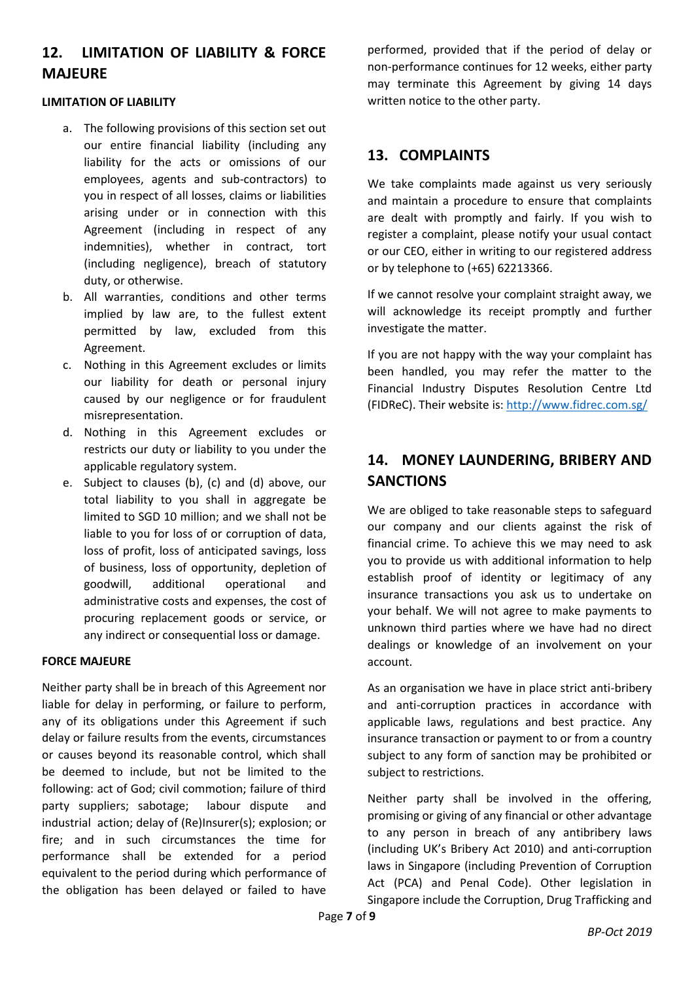## **12. LIMITATION OF LIABILITY & FORCE MAJEURE**

#### **LIMITATION OF LIABILITY**

- a. The following provisions of this section set out our entire financial liability (including any liability for the acts or omissions of our employees, agents and sub-contractors) to you in respect of all losses, claims or liabilities arising under or in connection with this Agreement (including in respect of any indemnities), whether in contract, tort (including negligence), breach of statutory duty, or otherwise.
- b. All warranties, conditions and other terms implied by law are, to the fullest extent permitted by law, excluded from this Agreement.
- c. Nothing in this Agreement excludes or limits our liability for death or personal injury caused by our negligence or for fraudulent misrepresentation.
- d. Nothing in this Agreement excludes or restricts our duty or liability to you under the applicable regulatory system.
- e. Subject to clauses (b), (c) and (d) above, our total liability to you shall in aggregate be limited to SGD 10 million; and we shall not be liable to you for loss of or corruption of data, loss of profit, loss of anticipated savings, loss of business, loss of opportunity, depletion of goodwill, additional operational and administrative costs and expenses, the cost of procuring replacement goods or service, or any indirect or consequential loss or damage.

### **FORCE MAJEURE**

Neither party shall be in breach of this Agreement nor liable for delay in performing, or failure to perform, any of its obligations under this Agreement if such delay or failure results from the events, circumstances or causes beyond its reasonable control, which shall be deemed to include, but not be limited to the following: act of God; civil commotion; failure of third party suppliers; sabotage; labour dispute and industrial action; delay of (Re)Insurer(s); explosion; or fire; and in such circumstances the time for performance shall be extended for a period equivalent to the period during which performance of the obligation has been delayed or failed to have performed, provided that if the period of delay or non-performance continues for 12 weeks, either party may terminate this Agreement by giving 14 days written notice to the other party.

### **13. COMPLAINTS**

We take complaints made against us very seriously and maintain a procedure to ensure that complaints are dealt with promptly and fairly. If you wish to register a complaint, please notify your usual contact or our CEO, either in writing to our registered address or by telephone to (+65) 62213366.

If we cannot resolve your complaint straight away, we will acknowledge its receipt promptly and further investigate the matter.

If you are not happy with the way your complaint has been handled, you may refer the matter to the Financial Industry Disputes Resolution Centre Ltd (FIDReC). Their website is[: http://www.fidrec.com.sg/](http://www.fidrec.com.sg/)

## **14. MONEY LAUNDERING, BRIBERY AND SANCTIONS**

We are obliged to take reasonable steps to safeguard our company and our clients against the risk of financial crime. To achieve this we may need to ask you to provide us with additional information to help establish proof of identity or legitimacy of any insurance transactions you ask us to undertake on your behalf. We will not agree to make payments to unknown third parties where we have had no direct dealings or knowledge of an involvement on your account.

As an organisation we have in place strict anti-bribery and anti-corruption practices in accordance with applicable laws, regulations and best practice. Any insurance transaction or payment to or from a country subject to any form of sanction may be prohibited or subject to restrictions.

Neither party shall be involved in the offering, promising or giving of any financial or other advantage to any person in breach of any antibribery laws (including UK's Bribery Act 2010) and anti-corruption laws in Singapore (including Prevention of Corruption Act (PCA) and Penal Code). Other legislation in Singapore include the Corruption, Drug Trafficking and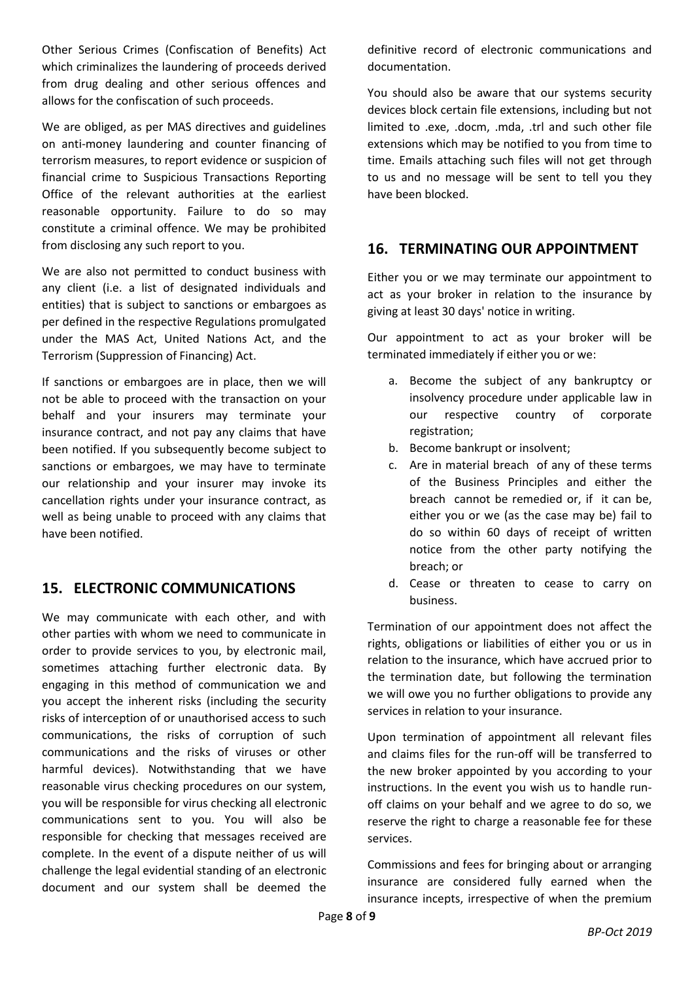Other Serious Crimes (Confiscation of Benefits) Act which criminalizes the laundering of proceeds derived from drug dealing and other serious offences and allows for the confiscation of such proceeds.

We are obliged, as per MAS directives and guidelines on anti-money laundering and counter financing of terrorism measures, to report evidence or suspicion of financial crime to Suspicious Transactions Reporting Office of the relevant authorities at the earliest reasonable opportunity. Failure to do so may constitute a criminal offence. We may be prohibited from disclosing any such report to you.

We are also not permitted to conduct business with any client (i.e. a list of designated individuals and entities) that is subject to sanctions or embargoes as per defined in the respective Regulations promulgated under the MAS Act, United Nations Act, and the Terrorism (Suppression of Financing) Act.

If sanctions or embargoes are in place, then we will not be able to proceed with the transaction on your behalf and your insurers may terminate your insurance contract, and not pay any claims that have been notified. If you subsequently become subject to sanctions or embargoes, we may have to terminate our relationship and your insurer may invoke its cancellation rights under your insurance contract, as well as being unable to proceed with any claims that have been notified.

## **15. ELECTRONIC COMMUNICATIONS**

We may communicate with each other, and with other parties with whom we need to communicate in order to provide services to you, by electronic mail, sometimes attaching further electronic data. By engaging in this method of communication we and you accept the inherent risks (including the security risks of interception of or unauthorised access to such communications, the risks of corruption of such communications and the risks of viruses or other harmful devices). Notwithstanding that we have reasonable virus checking procedures on our system, you will be responsible for virus checking all electronic communications sent to you. You will also be responsible for checking that messages received are complete. In the event of a dispute neither of us will challenge the legal evidential standing of an electronic document and our system shall be deemed the definitive record of electronic communications and documentation.

You should also be aware that our systems security devices block certain file extensions, including but not limited to .exe, .docm, .mda, .trl and such other file extensions which may be notified to you from time to time. Emails attaching such files will not get through to us and no message will be sent to tell you they have been blocked.

### **16. TERMINATING OUR APPOINTMENT**

Either you or we may terminate our appointment to act as your broker in relation to the insurance by giving at least 30 days' notice in writing.

Our appointment to act as your broker will be terminated immediately if either you or we:

- a. Become the subject of any bankruptcy or insolvency procedure under applicable law in our respective country of corporate registration;
- b. Become bankrupt or insolvent;
- c. Are in material breach of any of these terms of the Business Principles and either the breach cannot be remedied or, if it can be, either you or we (as the case may be) fail to do so within 60 days of receipt of written notice from the other party notifying the breach; or
- d. Cease or threaten to cease to carry on business.

Termination of our appointment does not affect the rights, obligations or liabilities of either you or us in relation to the insurance, which have accrued prior to the termination date, but following the termination we will owe you no further obligations to provide any services in relation to your insurance.

Upon termination of appointment all relevant files and claims files for the run-off will be transferred to the new broker appointed by you according to your instructions. In the event you wish us to handle runoff claims on your behalf and we agree to do so, we reserve the right to charge a reasonable fee for these services.

Commissions and fees for bringing about or arranging insurance are considered fully earned when the insurance incepts, irrespective of when the premium